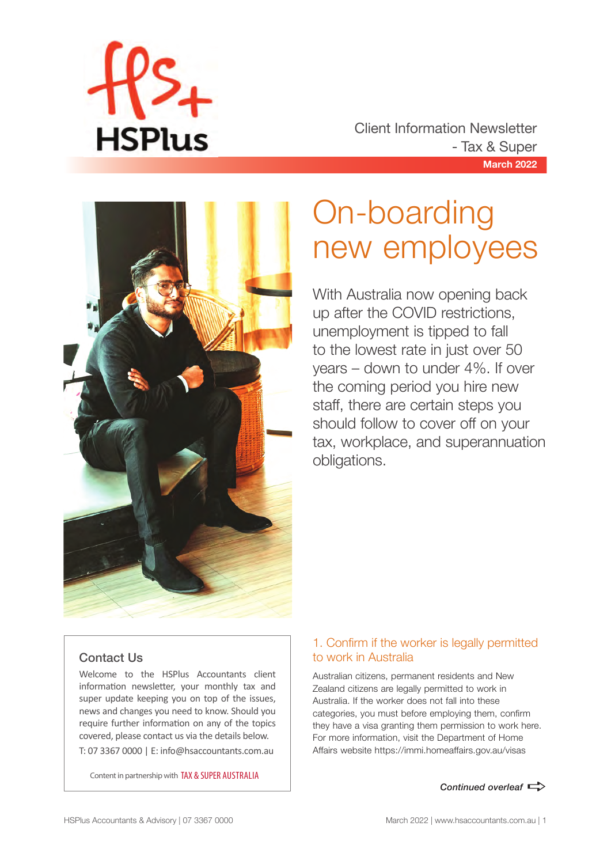

**March 2022** Client Information Newsletter - Tax & Super



## On-boarding new employees

With Australia now opening back up after the COVID restrictions, unemployment is tipped to fall to the lowest rate in just over 50 years – down to under 4%. If over the coming period you hire new staff, there are certain steps you should follow to cover off on your tax, workplace, and superannuation obligations.

#### Contact Us

Welcome to the HSPlus Accountants client information newsletter, your monthly tax and super update keeping you on top of the issues, news and changes you need to know. Should you require further information on any of the topics covered, please contact us via the details below. T: 07 3367 0000 | E: info@hsaccountants.com.au

Content in partnership with TAX & SUPER AUSTRALIA

#### 1. Confirm if the worker is legally permitted to work in Australia

Australian citizens, permanent residents and New Zealand citizens are legally permitted to work in Australia. If the worker does not fall into these categories, you must before employing them, confirm they have a visa granting them permission to work here. For more information, visit the Department of Home Affairs website https://immi.homeaffairs.gov.au/visas

**Continued overleaf**  $\Rightarrow$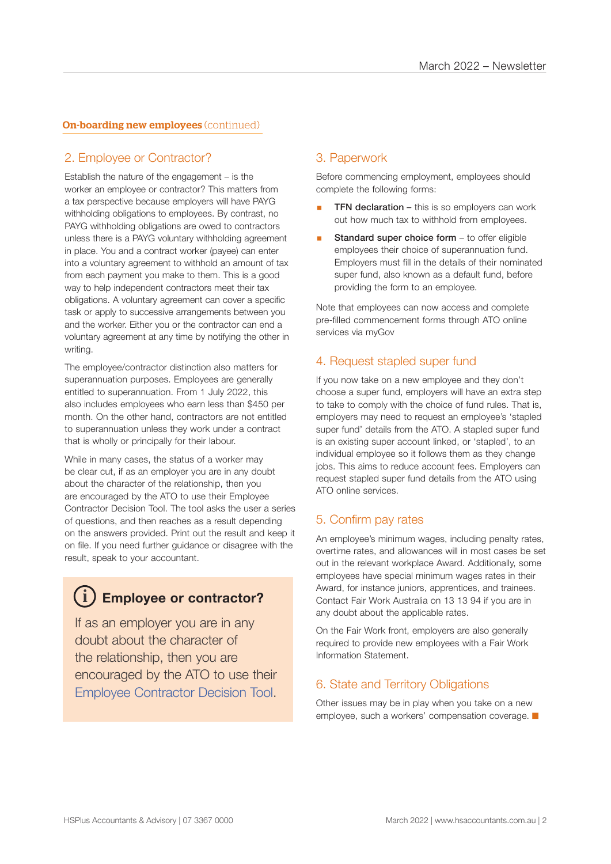#### **On-boarding new employees (continued)**

#### 2. Employee or Contractor?

Establish the nature of the engagement – is the worker an employee or contractor? This matters from a tax perspective because employers will have PAYG withholding obligations to employees. By contrast, no PAYG withholding obligations are owed to contractors unless there is a PAYG voluntary withholding agreement in place. You and a contract worker (payee) can enter into a voluntary agreement to withhold an amount of tax from each payment you make to them. This is a good way to help independent contractors meet their tax obligations. A voluntary agreement can cover a specific task or apply to successive arrangements between you and the worker. Either you or the contractor can end a voluntary agreement at any time by notifying the other in writing.

The employee/contractor distinction also matters for superannuation purposes. Employees are generally entitled to superannuation. From 1 July 2022, this also includes employees who earn less than \$450 per month. On the other hand, contractors are not entitled to superannuation unless they work under a contract that is wholly or principally for their labour.

While in many cases, the status of a worker may be clear cut, if as an employer you are in any doubt about the character of the relationship, then you are encouraged by the ATO to use their Employee Contractor Decision Tool. The tool asks the user a series of questions, and then reaches as a result depending on the answers provided. Print out the result and keep it on file. If you need further guidance or disagree with the result, speak to your accountant.

### **Employee or contractor? i**

If as an employer you are in any doubt about the character of the relationship, then you are encouraged by the ATO to use their Employee Contractor Decision Tool.

#### 3. Paperwork

Before commencing employment, employees should complete the following forms:

- **TFN declaration** this is so employers can work out how much tax to withhold from employees.
- Standard super choice form to offer eligible employees their choice of superannuation fund. Employers must fill in the details of their nominated super fund, also known as a default fund, before providing the form to an employee.

Note that employees can now access and complete pre-filled commencement forms through ATO online services via myGov

#### 4. Request stapled super fund

If you now take on a new employee and they don't choose a super fund, employers will have an extra step to take to comply with the choice of fund rules. That is, employers may need to request an employee's 'stapled super fund' details from the ATO. A stapled super fund is an existing super account linked, or 'stapled', to an individual employee so it follows them as they change jobs. This aims to reduce account fees. Employers can request stapled super fund details from the ATO using ATO online services.

#### 5. Confirm pay rates

An employee's minimum wages, including penalty rates, overtime rates, and allowances will in most cases be set out in the relevant workplace Award. Additionally, some employees have special minimum wages rates in their Award, for instance juniors, apprentices, and trainees. Contact Fair Work Australia on 13 13 94 if you are in any doubt about the applicable rates.

On the Fair Work front, employers are also generally required to provide new employees with a Fair Work Information Statement.

#### 6. State and Territory Obligations

Other issues may be in play when you take on a new employee, such a workers' compensation coverage.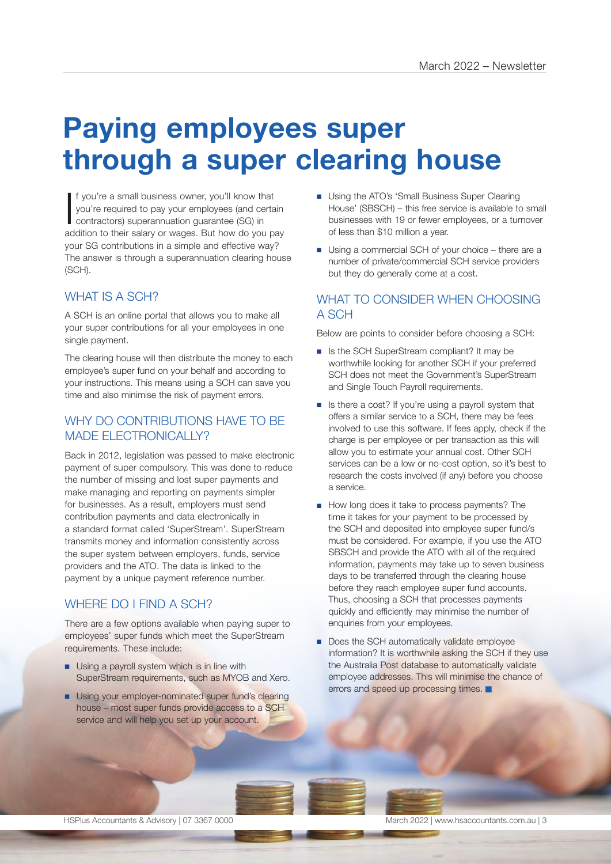### **Paying employees super through a super clearing house**

If you're a small business owner, you'll know that<br>you're required to pay your employees (and certain<br>contractors) superannuation guarantee (SG) in<br>addition to their salary or wages. But how do you pay f you're a small business owner, you'll know that you're required to pay your employees (and certain contractors) superannuation guarantee (SG) in your SG contributions in a simple and effective way? The answer is through a superannuation clearing house (SCH).

#### WHAT IS A SCH?

A SCH is an online portal that allows you to make all your super contributions for all your employees in one single payment.

The clearing house will then distribute the money to each employee's super fund on your behalf and according to your instructions. This means using a SCH can save you time and also minimise the risk of payment errors.

#### WHY DO CONTRIBUTIONS HAVE TO BE MADE ELECTRONICALLY?

Back in 2012, legislation was passed to make electronic payment of super compulsory. This was done to reduce the number of missing and lost super payments and make managing and reporting on payments simpler for businesses. As a result, employers must send contribution payments and data electronically in a standard format called 'SuperStream'. SuperStream transmits money and information consistently across the super system between employers, funds, service providers and the ATO. The data is linked to the payment by a unique payment reference number.

#### WHERE DO I FIND A SCH?

There are a few options available when paying super to employees' super funds which meet the SuperStream requirements. These include:

- Using a payroll system which is in line with SuperStream requirements, such as MYOB and Xero.
- Using your employer-nominated super fund's clearing house – most super funds provide access to a SCH service and will help you set up your account.
- Using the ATO's 'Small Business Super Clearing House' (SBSCH) – this free service is available to small businesses with 19 or fewer employees, or a turnover of less than \$10 million a year.
- Using a commercial SCH of your choice there are a number of private/commercial SCH service providers but they do generally come at a cost.

#### WHAT TO CONSIDER WHEN CHOOSING A SCH

Below are points to consider before choosing a SCH:

- Is the SCH SuperStream compliant? It may be worthwhile looking for another SCH if your preferred SCH does not meet the Government's SuperStream and Single Touch Payroll requirements.
- Is there a cost? If you're using a payroll system that offers a similar service to a SCH, there may be fees involved to use this software. If fees apply, check if the charge is per employee or per transaction as this will allow you to estimate your annual cost. Other SCH services can be a low or no-cost option, so it's best to research the costs involved (if any) before you choose a service.
- How long does it take to process payments? The time it takes for your payment to be processed by the SCH and deposited into employee super fund/s must be considered. For example, if you use the ATO SBSCH and provide the ATO with all of the required information, payments may take up to seven business days to be transferred through the clearing house before they reach employee super fund accounts. Thus, choosing a SCH that processes payments quickly and efficiently may minimise the number of enquiries from your employees.
- Does the SCH automatically validate employee information? It is worthwhile asking the SCH if they use the Australia Post database to automatically validate employee addresses. This will minimise the chance of errors and speed up processing times.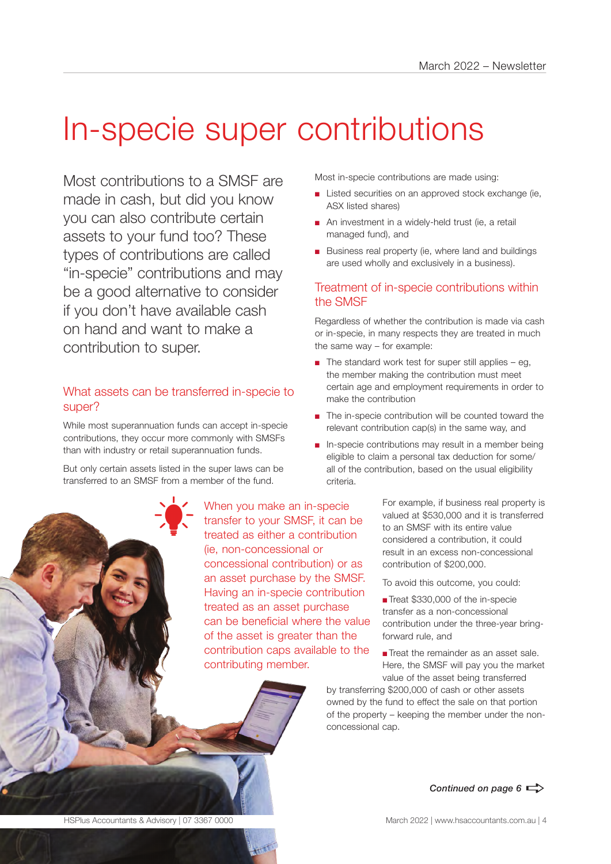## In-specie super contributions

Most contributions to a SMSF are made in cash, but did you know you can also contribute certain assets to your fund too? These types of contributions are called "in-specie" contributions and may be a good alternative to consider if you don't have available cash on hand and want to make a contribution to super.

#### What assets can be transferred in-specie to super?

While most superannuation funds can accept in-specie contributions, they occur more commonly with SMSFs than with industry or retail superannuation funds.

But only certain assets listed in the super laws can be transferred to an SMSF from a member of the fund.

> When you make an in-specie transfer to your SMSF, it can be treated as either a contribution (ie, non-concessional or concessional contribution) or as an asset purchase by the SMSF. Having an in-specie contribution treated as an asset purchase can be beneficial where the value of the asset is greater than the contribution caps available to the contributing member.

Most in-specie contributions are made using:

- Listed securities on an approved stock exchange (ie, ASX listed shares)
- An investment in a widely-held trust (ie, a retail managed fund), and
- Business real property (ie, where land and buildings are used wholly and exclusively in a business).

#### Treatment of in-specie contributions within the SMSF

Regardless of whether the contribution is made via cash or in-specie, in many respects they are treated in much the same way – for example:

- $\blacksquare$  The standard work test for super still applies eg, the member making the contribution must meet certain age and employment requirements in order to make the contribution
- The in-specie contribution will be counted toward the relevant contribution cap(s) in the same way, and
- In-specie contributions may result in a member being eligible to claim a personal tax deduction for some/ all of the contribution, based on the usual eligibility criteria.

For example, if business real property is valued at \$530,000 and it is transferred to an SMSF with its entire value considered a contribution, it could result in an excess non-concessional contribution of \$200,000.

To avoid this outcome, you could:

■ Treat \$330,000 of the in-specie transfer as a non-concessional contribution under the three-year bringforward rule, and

■ Treat the remainder as an asset sale. Here, the SMSF will pay you the market value of the asset being transferred

by transferring \$200,000 of cash or other assets owned by the fund to effect the sale on that portion of the property – keeping the member under the nonconcessional cap.



*Continued next page* a

Continued on page  $6 \Rightarrow$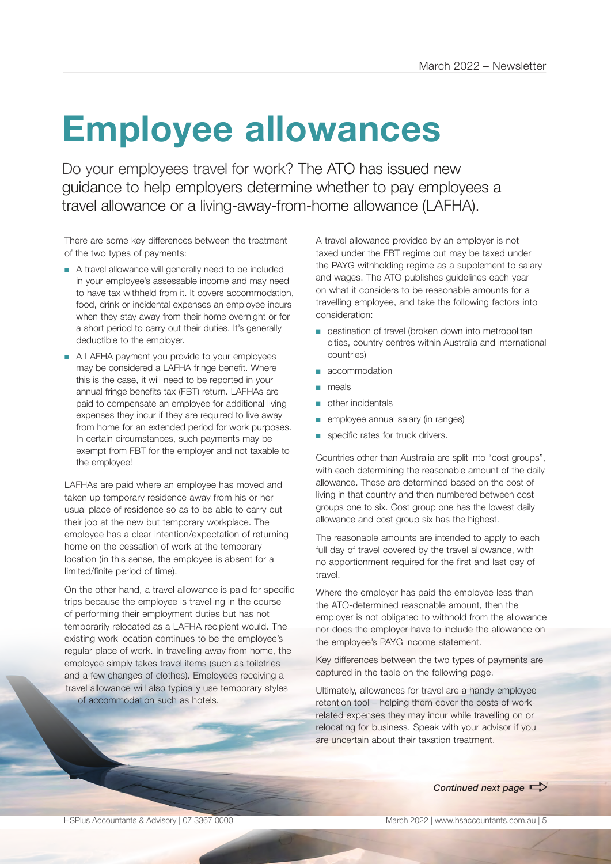## **Employee allowances**

Do your employees travel for work? The ATO has issued new guidance to help employers determine whether to pay employees a travel allowance or a living-away-from-home allowance (LAFHA).

There are some key differences between the treatment of the two types of payments:

- A travel allowance will generally need to be included in your employee's assessable income and may need to have tax withheld from it. It covers accommodation, food, drink or incidental expenses an employee incurs when they stay away from their home overnight or for a short period to carry out their duties. It's generally deductible to the employer.
- A LAFHA payment you provide to your employees may be considered a LAFHA fringe benefit. Where this is the case, it will need to be reported in your annual fringe benefits tax (FBT) return. LAFHAs are paid to compensate an employee for additional living expenses they incur if they are required to live away from home for an extended period for work purposes. In certain circumstances, such payments may be exempt from FBT for the employer and not taxable to the employee!

LAFHAs are paid where an employee has moved and taken up temporary residence away from his or her usual place of residence so as to be able to carry out their job at the new but temporary workplace. The employee has a clear intention/expectation of returning home on the cessation of work at the temporary location (in this sense, the employee is absent for a limited/finite period of time).

On the other hand, a travel allowance is paid for specific trips because the employee is travelling in the course of performing their employment duties but has not temporarily relocated as a LAFHA recipient would. The existing work location continues to be the employee's regular place of work. In travelling away from home, the employee simply takes travel items (such as toiletries and a few changes of clothes). Employees receiving a travel allowance will also typically use temporary styles of accommodation such as hotels.

A travel allowance provided by an employer is not taxed under the FBT regime but may be taxed under the PAYG withholding regime as a supplement to salary and wages. The ATO publishes guidelines each year on what it considers to be reasonable amounts for a travelling employee, and take the following factors into consideration:

- destination of travel (broken down into metropolitan cities, country centres within Australia and international countries)
- accommodation
- meals
- other incidentals
- employee annual salary (in ranges)
- specific rates for truck drivers.

Countries other than Australia are split into "cost groups", with each determining the reasonable amount of the daily allowance. These are determined based on the cost of living in that country and then numbered between cost groups one to six. Cost group one has the lowest daily allowance and cost group six has the highest.

The reasonable amounts are intended to apply to each full day of travel covered by the travel allowance, with no apportionment required for the first and last day of travel.

Where the employer has paid the employee less than the ATO-determined reasonable amount, then the employer is not obligated to withhold from the allowance nor does the employer have to include the allowance on the employee's PAYG income statement.

Key differences between the two types of payments are captured in the table on the following page.

Ultimately, allowances for travel are a handy employee retention tool – helping them cover the costs of workrelated expenses they may incur while travelling on or relocating for business. Speak with your advisor if you are uncertain about their taxation treatment.

**Continued next page**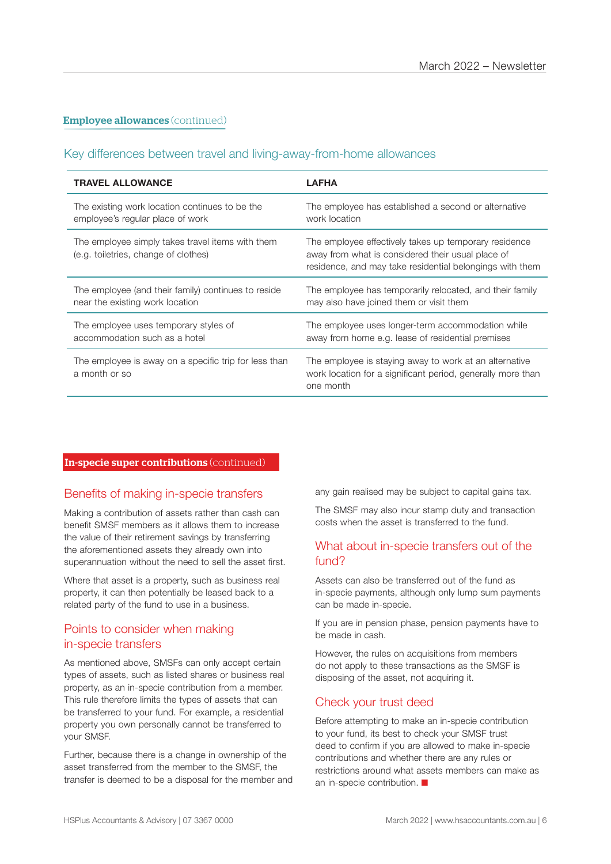#### **Employee allowances** (continued)

#### Key differences between travel and living-away-from-home allowances

| <b>TRAVEL ALLOWANCE</b>                                                                  | LAFHA                                                                                                                                                                  |
|------------------------------------------------------------------------------------------|------------------------------------------------------------------------------------------------------------------------------------------------------------------------|
| The existing work location continues to be the                                           | The employee has established a second or alternative                                                                                                                   |
| employee's regular place of work                                                         | work location                                                                                                                                                          |
| The employee simply takes travel items with them<br>(e.g. toiletries, change of clothes) | The employee effectively takes up temporary residence<br>away from what is considered their usual place of<br>residence, and may take residential belongings with them |
| The employee (and their family) continues to reside                                      | The employee has temporarily relocated, and their family                                                                                                               |
| near the existing work location                                                          | may also have joined them or visit them                                                                                                                                |
| The employee uses temporary styles of                                                    | The employee uses longer-term accommodation while                                                                                                                      |
| accommodation such as a hotel                                                            | away from home e.g. lease of residential premises                                                                                                                      |
| The employee is away on a specific trip for less than<br>a month or so                   | The employee is staying away to work at an alternative<br>work location for a significant period, generally more than<br>one month                                     |

#### In-specie super contributions (continued)

#### Benefits of making in-specie transfers

Making a contribution of assets rather than cash can benefit SMSF members as it allows them to increase the value of their retirement savings by transferring the aforementioned assets they already own into superannuation without the need to sell the asset first.

Where that asset is a property, such as business real property, it can then potentially be leased back to a related party of the fund to use in a business.

#### Points to consider when making in-specie transfers

As mentioned above, SMSFs can only accept certain types of assets, such as listed shares or business real property, as an in-specie contribution from a member. This rule therefore limits the types of assets that can be transferred to your fund. For example, a residential property you own personally cannot be transferred to your SMSF.

Further, because there is a change in ownership of the asset transferred from the member to the SMSF, the transfer is deemed to be a disposal for the member and any gain realised may be subject to capital gains tax.

The SMSF may also incur stamp duty and transaction costs when the asset is transferred to the fund.

#### What about in-specie transfers out of the fund?

Assets can also be transferred out of the fund as in-specie payments, although only lump sum payments can be made in-specie.

If you are in pension phase, pension payments have to be made in cash.

However, the rules on acquisitions from members do not apply to these transactions as the SMSF is disposing of the asset, not acquiring it.

#### Check your trust deed

Before attempting to make an in-specie contribution to your fund, its best to check your SMSF trust deed to confirm if you are allowed to make in-specie contributions and whether there are any rules or restrictions around what assets members can make as an in-specie contribution.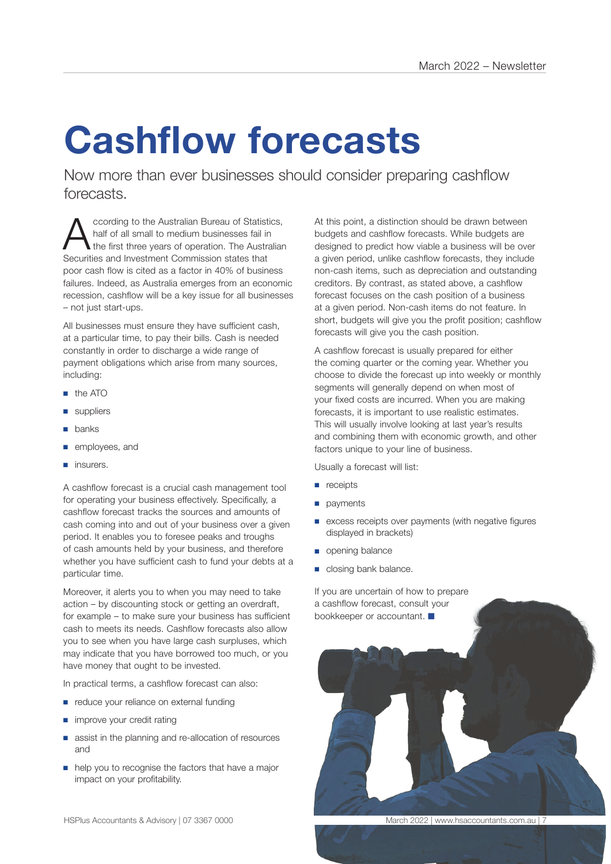# **Cashflow forecasts**

Now more than ever businesses should consider preparing cashflow forecasts.

According to the Australian Bureau of Statistics,<br>
the first three years of operation. The Australian<br>
Socurities and Investment Commission states that half of all small to medium businesses fail in Securities and Investment Commission states that poor cash flow is cited as a factor in 40% of business failures. Indeed, as Australia emerges from an economic recession, cashflow will be a key issue for all businesses – not just start-ups.

All businesses must ensure they have sufficient cash. at a particular time, to pay their bills. Cash is needed constantly in order to discharge a wide range of payment obligations which arise from many sources, including:

- the ATO
- suppliers
- banks
- employees, and
- insurers.

A cashflow forecast is a crucial cash management tool for operating your business effectively. Specifically, a cashflow forecast tracks the sources and amounts of cash coming into and out of your business over a given period. It enables you to foresee peaks and troughs of cash amounts held by your business, and therefore whether you have sufficient cash to fund your debts at a particular time.

Moreover, it alerts you to when you may need to take action – by discounting stock or getting an overdraft, for example – to make sure your business has sufficient cash to meets its needs. Cashflow forecasts also allow you to see when you have large cash surpluses, which may indicate that you have borrowed too much, or you have money that ought to be invested.

In practical terms, a cashflow forecast can also:

- reduce your reliance on external funding
- improve your credit rating
- assist in the planning and re-allocation of resources and
- help you to recognise the factors that have a major impact on your profitability.

At this point, a distinction should be drawn between budgets and cashflow forecasts. While budgets are designed to predict how viable a business will be over a given period, unlike cashflow forecasts, they include non-cash items, such as depreciation and outstanding creditors. By contrast, as stated above, a cashflow forecast focuses on the cash position of a business at a given period. Non-cash items do not feature. In short, budgets will give you the profit position; cashflow forecasts will give you the cash position.

A cashflow forecast is usually prepared for either the coming quarter or the coming year. Whether you choose to divide the forecast up into weekly or monthly segments will generally depend on when most of your fixed costs are incurred. When you are making forecasts, it is important to use realistic estimates. This will usually involve looking at last year's results and combining them with economic growth, and other factors unique to your line of business.

Usually a forecast will list:

- receipts
- payments
- excess receipts over payments (with negative figures displayed in brackets)
- opening balance
- closing bank balance.

If you are uncertain of how to prepare a cashflow forecast, consult your bookkeeper or accountant.